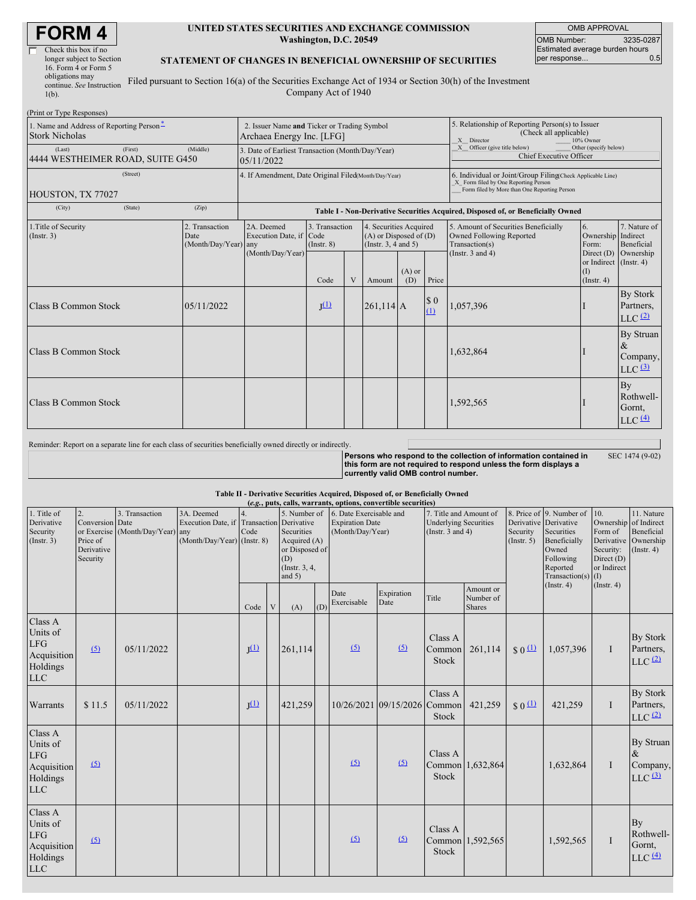| Check this box if no      |  |
|---------------------------|--|
| longer subject to Section |  |
| 16. Form 4 or Form 5      |  |
| obligations may           |  |
| continue. See Instruction |  |
|                           |  |
| $1(b)$ .                  |  |

#### **UNITED STATES SECURITIES AND EXCHANGE COMMISSION Washington, D.C. 20549**

OMB APPROVAL OMB Number: 3235-0287 Estimated average burden hours<br>per response... 0.5 per response...

### **STATEMENT OF CHANGES IN BENEFICIAL OWNERSHIP OF SECURITIES**

Filed pursuant to Section 16(a) of the Securities Exchange Act of 1934 or Section 30(h) of the Investment Company Act of 1940

| (Print or Type Responses)                                         |                                                |                                                                                  |                                   |   |                                                                                  |                 |                    |                                                                                                                                                    |                                                   |                                                                |  |
|-------------------------------------------------------------------|------------------------------------------------|----------------------------------------------------------------------------------|-----------------------------------|---|----------------------------------------------------------------------------------|-----------------|--------------------|----------------------------------------------------------------------------------------------------------------------------------------------------|---------------------------------------------------|----------------------------------------------------------------|--|
| 1. Name and Address of Reporting Person-<br><b>Stork Nicholas</b> |                                                | 2. Issuer Name and Ticker or Trading Symbol<br>Archaea Energy Inc. [LFG]         |                                   |   |                                                                                  |                 |                    | 5. Relationship of Reporting Person(s) to Issuer<br>(Check all applicable)<br>X Director<br>10% Owner                                              |                                                   |                                                                |  |
| (First)<br>(Last)<br>4444 WESTHEIMER ROAD, SUITE G450             | (Middle)                                       | 3. Date of Earliest Transaction (Month/Day/Year)<br>05/11/2022                   |                                   |   |                                                                                  |                 |                    | $X$ Officer (give title below)<br>Other (specify below)<br>Chief Executive Officer                                                                 |                                                   |                                                                |  |
| (Street)<br>HOUSTON, TX 77027                                     |                                                | 4. If Amendment, Date Original Filed(Month/Day/Year)                             |                                   |   |                                                                                  |                 |                    | 6. Individual or Joint/Group Filing(Check Applicable Line)<br>X Form filed by One Reporting Person<br>Form filed by More than One Reporting Person |                                                   |                                                                |  |
| (City)<br>(State)                                                 | (Zip)                                          | Table I - Non-Derivative Securities Acquired, Disposed of, or Beneficially Owned |                                   |   |                                                                                  |                 |                    |                                                                                                                                                    |                                                   |                                                                |  |
| 1. Title of Security<br>$($ Instr. 3 $)$                          | 2. Transaction<br>Date<br>(Month/Day/Year) any | 2A. Deemed<br>Execution Date, if Code<br>(Month/Day/Year)                        | 3. Transaction<br>$($ Instr. $8)$ |   | 4. Securities Acquired<br>$(A)$ or Disposed of $(D)$<br>(Instr. $3, 4$ and $5$ ) |                 |                    | 5. Amount of Securities Beneficially<br>Owned Following Reported<br>Transaction(s)<br>(Instr. $3$ and $4$ )                                        | 6.<br>Ownership Indirect<br>Form:                 | 7. Nature of<br>Beneficial<br>Direct $(D)$ Ownership           |  |
|                                                                   |                                                |                                                                                  | Code                              | V | Amount                                                                           | $(A)$ or<br>(D) | Price              |                                                                                                                                                    | or Indirect (Instr. 4)<br>(I)<br>$($ Instr. 4 $)$ |                                                                |  |
| <b>Class B Common Stock</b>                                       | 05/11/2022                                     |                                                                                  | I <sup>(1)</sup>                  |   | $261,114$ A                                                                      |                 | $\sqrt{3}0$<br>(1) | 1,057,396                                                                                                                                          |                                                   | <b>By Stork</b><br>Partners,<br>$LLC$ $(2)$                    |  |
| <b>Class B Common Stock</b>                                       |                                                |                                                                                  |                                   |   |                                                                                  |                 |                    | 1,632,864                                                                                                                                          |                                                   | By Struan<br>$\&$<br>Company,<br>$LLC$ $(3)$                   |  |
| <b>Class B Common Stock</b>                                       |                                                |                                                                                  |                                   |   |                                                                                  |                 |                    | 1,592,565                                                                                                                                          |                                                   | By<br>Rothwell-<br>Gornt,<br>$LLC$ <sup><math>(4)</math></sup> |  |

Reminder: Report on a separate line for each class of securities beneficially owned directly or indirectly.

**Persons who respond to the collection of information contained in this form are not required to respond unless the form displays a currently valid OMB control number.** SEC 1474 (9-02)

### **Table II - Derivative Securities Acquired, Disposed of, or Beneficially Owned**

| (e.g., puts, calls, warrants, options, convertible securities)             |                                                                           |                                                    |                                                                   |                           |   |                                                                                                                  |     |                                                                                                                                                          |                              |                                   |                                                                                                                                     |                                                                                 |                                                                                    |                  |                                                      |
|----------------------------------------------------------------------------|---------------------------------------------------------------------------|----------------------------------------------------|-------------------------------------------------------------------|---------------------------|---|------------------------------------------------------------------------------------------------------------------|-----|----------------------------------------------------------------------------------------------------------------------------------------------------------|------------------------------|-----------------------------------|-------------------------------------------------------------------------------------------------------------------------------------|---------------------------------------------------------------------------------|------------------------------------------------------------------------------------|------------------|------------------------------------------------------|
| 1. Title of<br>Derivative<br>Security<br>(Insert. 3)                       | $\overline{2}$ .<br>Conversion Date<br>Price of<br>Derivative<br>Security | 3. Transaction<br>or Exercise (Month/Day/Year) any | 3A. Deemed<br>Execution Date, if<br>$(Month/Day/Year)$ (Instr. 8) | 4.<br>Transaction<br>Code |   | 5. Number of<br>Derivative<br>Securities<br>Acquired (A)<br>or Disposed of<br>(D)<br>(Instr. $3, 4,$<br>and $5)$ |     | 6. Date Exercisable and<br>7. Title and Amount of<br><b>Expiration Date</b><br><b>Underlying Securities</b><br>(Month/Day/Year)<br>(Instr. $3$ and $4$ ) |                              | Security<br>$($ Instr. 5 $)$      | 8. Price of 9. Number of<br>Derivative Derivative<br>Securities<br>Beneficially<br>Owned<br>Following<br>Reported<br>Transaction(s) | 10.<br>Form of<br>Derivative<br>Security:<br>Direct $(D)$<br>or Indirect<br>(I) | 11. Nature<br>Ownership of Indirect<br>Beneficial<br>Ownership<br>$($ Instr. 4 $)$ |                  |                                                      |
|                                                                            |                                                                           |                                                    |                                                                   | Code                      | V | (A)                                                                                                              | (D) | Date<br>Exercisable                                                                                                                                      | Expiration<br>Date           | Title                             | Amount or<br>Number of<br><b>Shares</b>                                                                                             |                                                                                 | $($ Instr. 4 $)$                                                                   | $($ Instr. 4 $)$ |                                                      |
| Class A<br>Units of<br>LFG<br>Acquisition<br>Holdings<br><b>LLC</b>        | (5)                                                                       | 05/11/2022                                         |                                                                   | I <sub>(1)</sub>          |   | 261,114                                                                                                          |     | (5)                                                                                                                                                      | (5)                          | Class A<br>Common<br><b>Stock</b> | 261,114                                                                                                                             | \$0 <sup>(1)</sup>                                                              | 1,057,396                                                                          | $\bf{I}$         | <b>By Stork</b><br>Partners,<br>$LLC$ <sup>(2)</sup> |
| Warrants                                                                   | \$11.5                                                                    | 05/11/2022                                         |                                                                   | $J^{(1)}$                 |   | 421,259                                                                                                          |     |                                                                                                                                                          | 10/26/2021 09/15/2026 Common | Class A<br>Stock                  | 421,259                                                                                                                             | $S_0$ <sup>(1)</sup>                                                            | 421,259                                                                            | $\mathbf I$      | By Stork<br>Partners,<br>$LLC$ $(2)$                 |
| Class A<br>Units of<br>LFG<br>Acquisition<br>Holdings<br><b>LLC</b>        | (5)                                                                       |                                                    |                                                                   |                           |   |                                                                                                                  |     | (5)                                                                                                                                                      | (5)                          | Class A<br>Stock                  | Common 1,632,864                                                                                                                    |                                                                                 | 1,632,864                                                                          | $\mathbf I$      | By Struan<br>$\&$<br>Company,<br>$LLC$ $(3)$         |
| Class A<br>Units of<br><b>LFG</b><br>Acquisition<br>Holdings<br><b>LLC</b> | $\sqrt{5}$                                                                |                                                    |                                                                   |                           |   |                                                                                                                  |     | (5)                                                                                                                                                      | (5)                          | Class A<br>Stock                  | Common 1,592,565                                                                                                                    |                                                                                 | 1,592,565                                                                          | $\mathbf I$      | By<br>Rothwell-<br>Gornt,<br>$LLC$ $(4)$             |